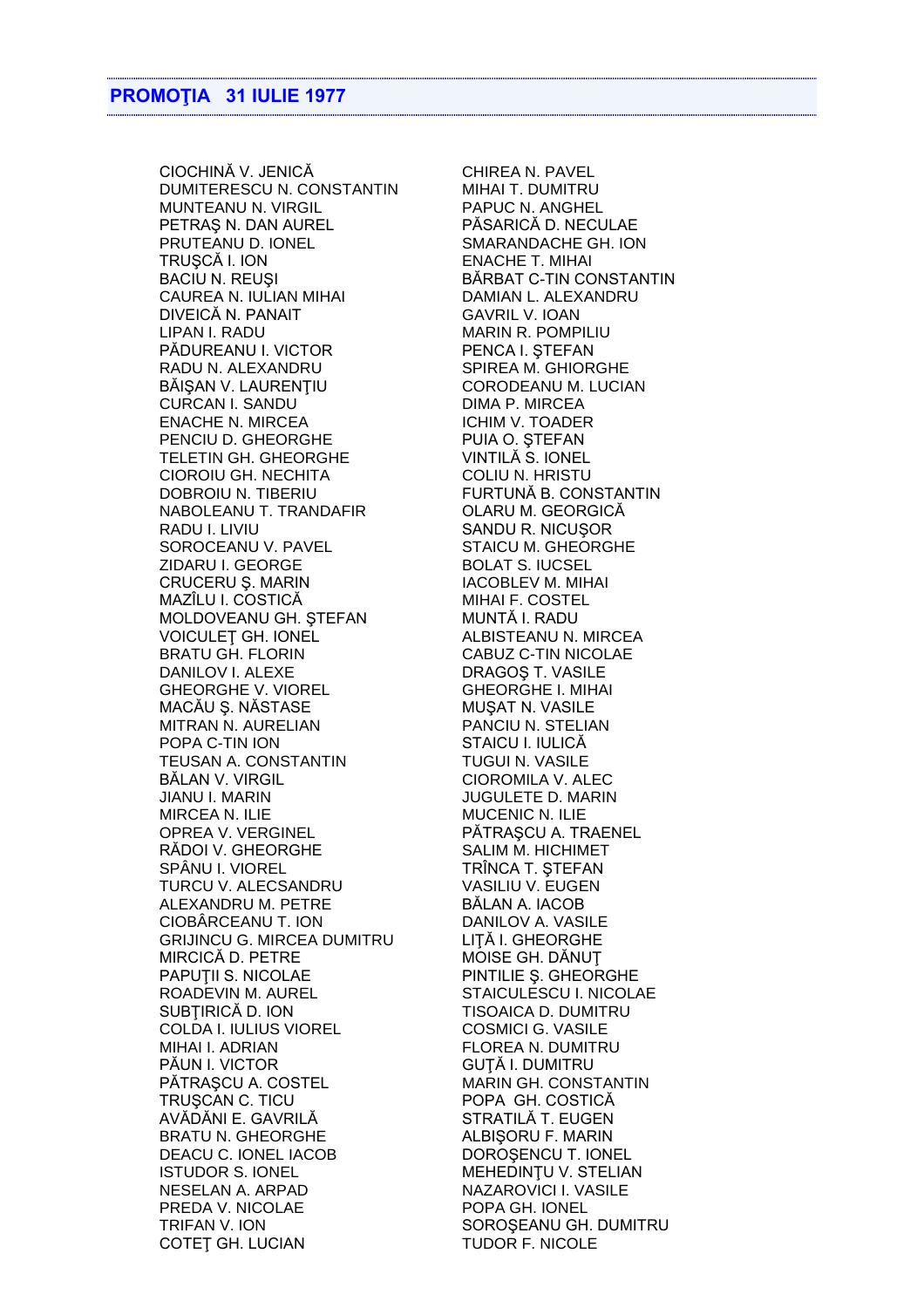CIOCHINĂ V. JENICĂ CHIREA N. PAVEL DUMITERESCU N. CONSTANTIN MIHAI T. DUMITRU MUNTEANU N. VIRGIL PAPUC N. ANGHEL PETRAŞ N. DAN AUREL PĂSARICĂ D. NECULAE PRUTEANU D. IONEL SMARANDACHE GH. ION TRUŞCĂ I. ION ENACHE T. MIHAI BACIU N. REUȘI ESTE DE LA BĂRBAT C-TIN CONSTANTIN CAUREA N. IULIAN MIHAI DAMIAN L. ALEXANDRU DIVEICĂ N. PANAIT GAVRIL V. IOAN LIPAN I. RADU MARIN R. POMPILIU PĂDUREANU I. VICTOR PENCA I. ȘTEFAN RADU N. ALEXANDRU SPIREA M. GHIORGHE BĂIȘAN V. LAURENȚIU CORODEANU M. LUCIAN CURCAN I. SANDU DIMA P. MIRCEA ENACHE N. MIRCEA ICHIM V. TOADER PENCIU D. GHEORGHE PUIA O. STEFAN TELETIN GH. GHEORGHE VINTILĂ S. IONEL CIOROIU GH. NECHITA COLIU N. HRISTU DOBROIU N. TIBERIU FURTUNĂ B. CONSTANTIN NABOLEANU T. TRANDAFIR OLARU M. GEORGICĂ RADU I. LIVIU<br>SOROCEANU V. PAVEL STAICU M. GHEORG ZIDARU I. GEORGE BOLAT S. IUCSEL CRUCERU Ș. MARIN IACOBLEV M. MIHAI MAZÎLU I. COSTICĂ MIHAI F. COSTEL MOLDOVEANU GH. ŞTEFAN MUNTĂ I. RADU VOICULEȚ GH. IONEL ALBISTEANU N. MIRCEA BRATU GH. FLORIN CABUZ C-TIN NICOLAE DANILOV I. ALEXE DRAGOS T. VASILE GHEORGHE V. VIOREL GHEORGHE I. MIHAI MACĂU Ș. NĂSTASE MUȘAT N. VASILE MITRAN N. AURELIAN PANCIU N. STELIAN POPA C-TIN ION STAICU I. IULICĂ TEUSAN A. CONSTANTIN TUGUI N. VASILE BĂLAN V. VIRGIL CIOROMILA V. ALEC JIANU I. MARIN JUGULETE D. MARIN MIRCEA N. ILIE MUCENIC N. ILIE OPREA V. VERGINEL PĂTRAŞCU A. TRAENEL RĂDOI V. GHEORGHE SALIM M. HICHIMET SPÂNU I. VIOREL TRÎNCA T. ȘTEFAN TURCU V. ALECSANDRU VASILIU V. EUGEN ALEXANDRU M. PETRE CIOBÂRCEANU T. ION DANILOV A. VASILE GRIJINCU G. MIRCEA DUMITRU LIŢĂ I. GHEORGHE MIRCICĂ D. PETRE MOISE GH. DĂNUȚ PAPUȚII S. NICOLAE PINTILIE Ș. GHEORGHE ROADEVIN M. AUREL STAICULESCU I. NICOLAE SUBȚIRICĂ D. ION TISOAICA D. DUMITRU COLDA I. IULIUS VIOREL COSMICI G. VASILE MIHAI I. ADRIAN FLOREA N. DUMITRU PĂUN I. VICTOR GUTĂ I. DUMITRU PĂTRAȘCU A. COSTEL MARIN GH. CONSTANTIN TRUŞCAN C. TICU POPA GH. COSTICĂ AVĂDĂNI E. GAVRILĂ STRATILĂ T. EUGEN BRATU N. GHEORGHE ALBISORU F. MARIN DEACU C. IONEL IACOB DOROŞENCU T. IONEL ISTUDOR S. IONEL MEHEDINTU V. STELIAN NESELAN A. ARPAD NAZAROVICI I. VASILE PREDA V. NICOLAE POPA GH. IONEL TRIFAN V. ION SOROŞEANU GH. DUMITRU COTEȚ GH. LUCIAN

STAICU M. GHEORGHE